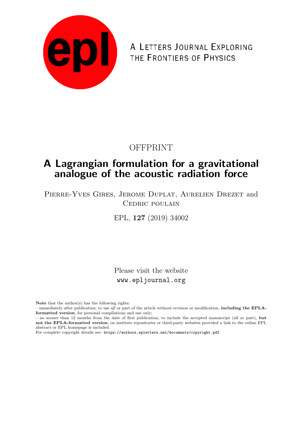

A LETTERS JOURNAL EXPLORING THE FRONTIERS OF PHYSICS

### OFFPRINT

# A Lagrangian formulation for a gravitational analogue of the acoustic radiation force

Pierre-Yves Gires, Jerome Duplat, Aurelien Drezet and CEDRIC POULAIN

EPL, 127 (2019) 34002

Please visit the website www.epljournal.org

Note that the author(s) has the following rights:

– immediately after publication, to use all or part of the article without revision or modification, including the EPLAformatted version, for personal compilations and use only;

– no sooner than 12 months from the date of first publication, to include the accepted manuscript (all or part), but not the EPLA-formatted version, on institute repositories or third-party websites provided a link to the online EPL abstract or EPL homepage is included.

For complete copyright details see: https://authors.epletters.net/documents/copyright.pdf.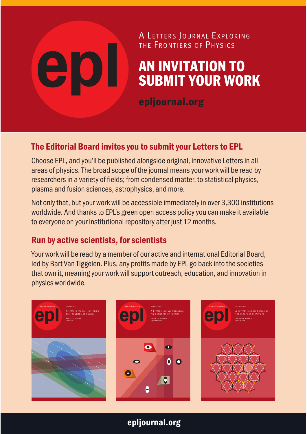# THE FRONTIERS OF PHYSICS AN INVITATION TO SUBMIT YOUR WORK

A LETTERS JOURNAL EXPLORING

epljournal.org

### The Editorial Board invites you to submit your Letters to EPL

Choose EPL, and you'll be published alongside original, innovative Letters in all areas of physics. The broad scope of the journal means your work will be read by researchers in a variety of fields; from condensed matter, to statistical physics, plasma and fusion sciences, astrophysics, and more.

Not only that, but your work will be accessible immediately in over 3,300 institutions worldwide. And thanks to EPL's green open access policy you can make it available to everyone on your institutional repository after just 12 months.

#### Run by active scientists, for scientists

Your work will be read by a member of our active and international Editorial Board, led by Bart Van Tiggelen. Plus, any profits made by EPL go back into the societies that own it, meaning your work will support outreach, education, and innovation in physics worldwide.



epljournal.org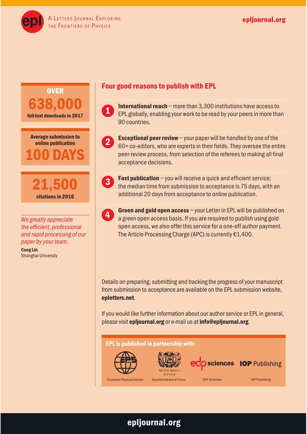A LETTERS JOURNAL EXPLORING EXPRESS AND THE RESERVE ENDING: THE RESERVE ENDING: THE RESERVE ENDING: THE FRONTIERS OF PHYSICS









*We greatly appreciate the efficient, professional and rapid processing of our paper by your team.*

Cong Lin Shanghai University

#### Four good reasons to publish with EPL

International reach – more than 3,300 institutions have access to EPL globally, enabling your work to be read by your peers in more than 90 countries. 1



**Exceptional peer review**  $-\gamma$  your paper will be handled by one of the 60+ co-editors, who are experts in their fields. They oversee the entire peer-review process, from selection of the referees to making all final acceptance decisions.



**Fast publication** – you will receive a quick and efficient service; the median time from submission to acceptance is 75 days, with an additional 20 days from acceptance to online publication.



Green and gold open access – your Letter in EPL will be published on a green open access basis. If you are required to publish using gold open access, we also offer this service for a one-off author payment. The Article Processing Charge (APC) is currently €1,400.

Details on preparing, submitting and tracking the progress of your manuscript from submission to acceptance are available on the EPL submission website, epletters.net.

If you would like further information about our author service or EPL in general, please visit epljournal.org or e-mail us at info@epljournal.org.

#### EPL is published in partnership with:







European Physical Society Società Italiana di Fisica **EDP Sciences** IOP Publishing

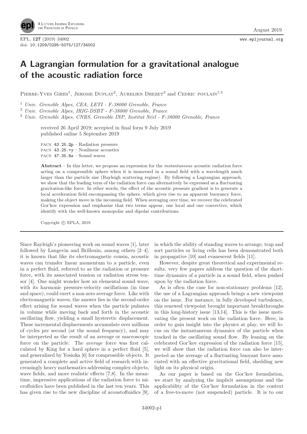

EPL, 127 (2019) 34002 www.epljournal.org doi: 10.1209/0295-5075/127/34002

## A Lagrangian formulation for a gravitational analogue of the acoustic radiation force

PIERRE-YVES GIRES<sup>1</sup>, JEROME DUPLAT<sup>2</sup>, AURELIEN DREZET<sup>3</sup> and CEDRIC POULAIN<sup>1,3</sup>

<sup>1</sup> Univ. Grenoble Alpes, CEA, LETI - F-38000 Grenoble, France

<sup>2</sup> Univ. Grenoble Alpes, IRIG-DSBT - F-38000 Grenoble, France

<sup>3</sup> Univ. Grenoble Alpes, CNRS, Grenoble INP, Institut Néel - F-38000 Grenoble, France

received 26 April 2019; accepted in final form 9 July 2019 published online 5 September 2019

PACS 43.25.Qp – Radiation pressure PACS 43.25.+y – Nonlinear acoustics PACS 47.35.Rs – Sound waves

Abstract – In this letter, we propose an expression for the *instantaneous* acoustic radiation force acting on a compressible sphere when it is immersed in a sound field with a wavelength much larger than the particle size (Rayleigh scattering regime). By following a Lagrangian approach, we show that the leading term of the radiation force can alternatively be expressed as a fluctuating gravitation-like force. In other words, the effect of the acoustic pressure gradient is to generate a local acceleration field encompassing the sphere, which gives rise to an apparent buoyancy force, making the object move in the incoming field. When averaging over time, we recover the celebrated Gor'kov expression and emphasize that two terms appear, one local and one convective, which identify with the well-known monopolar and dipolar contributions.

Copyright © EPLA, 2019

Since Rayleigh's pioneering work on sound waves [1], later followed by Langevin and Brillouin, among others [2–4], it is known that like its electromagnetic cousin, acoustic waves can transfer linear momentum to a particle, even in a perfect fluid, referred to as the radiation or pressure force, with its associated tension or radiation stress tensor [4]. One might wonder how an elemental sound wave, with its harmonic pressure-velocity oscillations (in time and space), could exert a non-zero average force. Like with electromagnetic waves, the answer lies in the second-order effect arising for sound waves when the particle pulsates in volume while moving back and forth in the acoustic oscillating flow, yielding a small hysteretic displacement. These incremental displacements accumulate over millions of cycles per second (at the sound frequency), and may be interpreted as the result of an average or macroscopic force on the particle. The average force was first calculated by King for a hard sphere in a perfect fluid [5], and generalized by Yosioka [6] for compressible objects. It generated a complete and active field of research with increasingly heavy mathematics addressing complex objects, wave fields, and more realistic effects [7,8]. In the meantime, impressive applications of the radiation force to microfluidics have been published in the last ten years. This has given rise to the new discipline of acoustofluidics [9].

in which the ability of standing waves to arrange, trap and sort particles or living cells has been demonstrated both in propagative [10] and evanescent fields [11].

However, despite great theoretical and experimental results, very few papers address the question of the shorttime dynamics of a particle in a sound field, when pushed upon by the radiation force.

As is often the case for non-stationary problems [12], the use of a Lagrangian approach brings a new viewpoint on the issue. For instance, in fully developed turbulence, this renewed viewpoint brought important breakthroughs in this long-history issue [13,14]. This is the issue motivating the present work on the radiation force. Here, in order to gain insight into the physics at play, we will focus on the instantaneous dynamics of the particle when tracked in the oscillating sound flow. By leaning on the celebrated Gor'kov expression of the radiation force [15], we will show that the radiation force can also be interpreted as the average of a fluctuating buoyant force associated with an effective gravitational field, shedding new light on its physical origin.

As our paper is based on the Gor'kov formulation, we start by analyzing the implicit assumptions and the applicability of the Gor'kov formulation in the context of a free-to-move (not suspended) particle. It is to our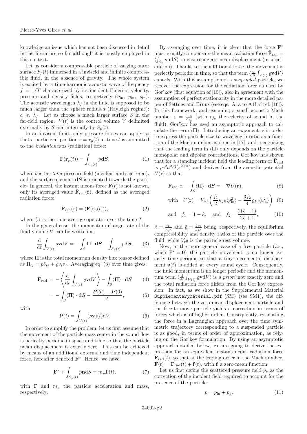knowledge an issue which has not been discussed in detail in the literature so far although it is mostly employed in this context.

Let us consider a compressible particle of varying outer surface  $S_n(t)$  immersed in a inviscid and infinite compressible fluid, in the absence of gravity. The whole system is excited by a time-harmonic acoustic wave of frequency  $f = 1/T$  characterized by its incident Eulerian velocity, pressure and density fields, respectively  $(v_{\text{in}}, p_{\text{in}}, \rho_{\text{in}})$ . The acoustic wavelength  $\lambda_f$  in the fluid is supposed to be much larger than the sphere radius  $a$  (Rayleigh regime):  $a \ll \lambda_f$ . Let us choose a much larger surface S in the far-field region.  $V(t)$  is the control volume V delimited externally by S and internally by  $S_p(t)$ .

In an inviscid fluid, only pressure forces can apply so that a particle at position  $\mathbf{r} = \mathbf{r}_p(t)$  at time t is submitted to the instantaneous (radiation) force:

$$
\mathbf{F}(\mathbf{r}_p(t)) = \int_{S_p(t)} p \mathbf{d}S,\tag{1}
$$

where  $p$  is the *total* pressure field (incident and scattered). and the surface element  $\mathrm{d}S$  is oriented towards the particle. In general, the instantaneous force  $F(t)$  is not known, only its averaged value  $\bar{\mathbf{F}}_{\text{rad}}(\mathbf{r})$ , defined as the averaged radiation force:

$$
\bar{\mathbf{F}}_{\text{rad}}(\mathbf{r}) = \langle \mathbf{F}(\mathbf{r}_p(t)) \rangle, \tag{2}
$$

where  $\langle . \rangle$  is the time-average operator over the time T.

In the general case, the momentum change rate of the fluid volume  $V$  can be written as

$$
\frac{\mathrm{d}}{\mathrm{d}t} \int_{V(t)} \varrho \mathbf{v} \mathrm{d}V = -\int_{S} \mathbf{\Pi} \cdot \mathbf{d}S - \int_{S_p(t)} p \mathbf{d}S, \qquad (3)
$$

where  $\Pi$  is the total momentum density flux tensor defined as  $\Pi_{ij} = p\delta_{ij} + \varrho v_i v_j$ . Averaging eq. (3) over time gives:

$$
\bar{\mathbf{F}}_{\text{rad}} = -\left\langle \frac{\mathrm{d}}{\mathrm{d}t} \int_{V(t)} \varrho \mathbf{v} \mathrm{d}V \right\rangle - \int_{S} \langle \mathbf{\Pi} \rangle \cdot \mathbf{d}S \qquad (4)
$$

$$
= -\int_{S} \langle \Pi \rangle \cdot \mathbf{d}S - \frac{\boldsymbol{P}(T) - \boldsymbol{P}(0)}{T}, \tag{5}
$$

with

$$
\boldsymbol{P}(t) = \int_{V(t)} (\varrho \mathbf{v})(t) \mathrm{d}V. \tag{6}
$$

In order to simplify the problem, let us first assume that the movement of the particle mass center in the sound flow is perfectly periodic in space and time so that the particle mean displacement is exactly zero. This can be achieved by means of an additional external and time independent force, hereafter denoted  $\mathbf{F}^*$ . Hence, we have:

$$
\mathbf{F}^* + \int_{S_p(t)} p \mathbf{n} \mathrm{d}S = m_p \mathbf{\Gamma}(t),\tag{7}
$$

with  $\Gamma$  and  $m_p$  the particle acceleration and mass, respectively.

By averaging over time, it is clear that the force  $\mathbf{F}^*$ must exactly compensate the mean radiation force  $\bar{\mathbf{F}}_{\text{rad}} =$  $\langle \int_{S_p} p n \mathrm{d}S \rangle$  to ensure a zero-mean displacement (or acceleration). Thanks to the additional force, the movement is perfectly periodic in time, so that the term  $\langle \frac{d}{dt} \int_{V(t)} \varrho \mathbf{v} dV \rangle$ cancels. With this assumption of a suspended particle, we recover the expression for the radiation force as used by Gor'kov (first equation of [15]), also in agreement with the assumption of perfect stationarity in the more detailed paper of Settnes and Bruus (see eqs. A1a to A1f of ref. [16]). In this framework, and assuming a small acoustic Mach number  $\varepsilon = \frac{v_{in}}{c_{f_0}}$  (with  $c_{f_0}$  the celerity of sound in the fluid), Gor'kov has used an asymptotic approach to calculate the term  $\langle \Pi \rangle$ . Introducing an exponent  $\alpha$  in order to express the particle size to wavelength ratio as a function of the Mach number as done in [17], and recognizing that the leading term in  $\langle \Pi \rangle$  only depends on the particle monopolar and dipolar contributions, Gor'kov has shown that for a standing incident field the leading term of  $\bar{\mathbf{F}}_{\text{rad}}$ is  $\rho c^2 a^2 O(\varepsilon^{2+\alpha})$  and derives from the acoustic potential  $U(\mathbf{r})$  so that

$$
\bar{\mathbf{F}}_{\text{rad}} \simeq -\int_{S} \langle \Pi \rangle \cdot \mathbf{d}S = -\nabla U(\mathbf{r}),\tag{8}
$$

with 
$$
U(\mathbf{r}) = V_{p0} \left( \frac{f_1}{2} \kappa_{f0} \langle p_{\text{in}}^2 \rangle - \frac{3 f_2}{4} \varrho_{f0} \langle v_{\text{in}}^2 \rangle \right)
$$
 (9)

and 
$$
f_1 = 1 - \tilde{\kappa}
$$
, and  $f_2 = \frac{2(\tilde{\varrho} - 1)}{2\tilde{\varrho} + 1}$ , (10)

 $\tilde{\kappa} = \frac{\kappa_{p0}}{\kappa_{p0}}$  $\frac{\kappa_{p0}}{\kappa_{f0}}$  and  $\tilde{\varrho} = \frac{\varrho_{p0}}{\varrho_{f0}}$  $\frac{\varrho_{p0}}{\varrho_{f0}}$  being, respectively, the equilibrium compressibility and density ratios of the particle over the fluid, while  $V_{p0}$  is the particle rest volume.

Now, in the more general case of a free particle  $(i.e.,$ when  $\mathbf{F}^* = \mathbf{0}$  the particle movement is no longer exactly time-periodic so that a tiny incremental displacement  $\delta(t)$  is added at every sound cycle. Consequently, the fluid momentum is no longer periodic and the momentum term  $\langle \frac{d}{dt} \int_{V(t)} \varrho \mathbf{v} dV \rangle$  is a priori not exactly zero and the total radiation force differs from the Gor'kov expression. In fact, as we show in the Supplemental Material Supplementarymaterial.pdf (SM) (see SM1), the difference between the zero-mean displacement particle and the free-to-move particle yields a correction in terms of forces which is of higher order. Consequently, estimating the force in a Lagrangian approach over the time symmetric trajectory corresponding to a suspended particle is as good, in terms of order of approximation, as relying on the Gor'kov formulation. By using an asymptotic approach detailed below, we are going to derive the expression for an equivalent instantaneous radiation force  $\mathbf{F}_{\text{rad}}(t)$ , so that at the leading order in the Mach number,  $\mathbf{F}(t) = \mathbf{F}_{rad}(t) + \mathbf{f}(t)$ , with f a zero-mean function.

Let us first define the scattered pressure field  $p_s$  as the correction of the incident field required to account for the presence of the particle:

$$
p = p_{\rm in} + p_s. \tag{11}
$$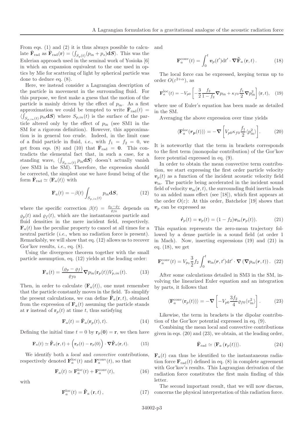From eqs. (1) and (2) it is thus always possible to calculate  $\bar{\mathbf{F}}_{\text{rad}}$  as  $\bar{\mathbf{F}}_{\text{rad}}(\mathbf{r}) = \langle \int_{S_p(t)} (p_{\text{in}} + p_s) \mathbf{d}S \rangle$ . This was the Eulerian approach used in the seminal work of Yosioka [6] in which an expansion equivalent to the one used in optics by Mie for scattering of light by spherical particle was done to deduce eq. (8).

Here, we instead consider a Lagrangian description of the particle in movement in the surrounding fluid. For this purpose, we first make a guess that the motion of the particle is mainly driven by the effect of  $p_{\text{in}}$ . As a first approximation we could be tempted to write  $\bar{\mathbf{F}}_{\text{rad}}(t) =$  $\langle \int_{S_{p,in}(t)} p_{in} dS \rangle$  where  $S_{p,in}(t)$  is the surface of the particle altered only by the effect of  $p_{\text{in}}$  (see SM1 in the SM for a rigorous definition). However, this approximation is in general too crude. Indeed, in the limit case of a fluid particle in fluid, *i.e.*, with  $f_1 = f_2 = 0$ , we get from eqs. (8) and (10) that  $\bar{F}_{rad} = 0$ . This contradicts the elemental fact that, in such a case, for a standing wave,  $\langle \int_{S_{p,in}(t)} p_{in} dS \rangle$  doesn't actually vanish (see SM3 in the SM). Therefore, the expression should be corrected, the simplest one we have found being of the form  $\bar{\mathbf{F}}_{\text{rad}} \simeq \langle \mathbf{F}_a(t) \rangle$  with

$$
\mathbf{F}_a(t) = -\beta(t) \int_{S_{p,in}(t)} p_{in} \mathbf{d}S,\tag{12}
$$

where the specific correction  $\beta(t) = \frac{\rho_p - \rho_f}{\rho_f_0}$  depends on  $\varrho_p(t)$  and  $\varrho_f(t)$ , which are the instantaneous particle and fluid densities in the mere incident field, respectively.  $\mathbf{F}_{a}(t)$  has the peculiar property to cancel at all times for a neutral particle *(i.e.*, when no radiation force is present). Remarkably, we will show that eq. (12) allows us to recover Gor'kov results, *i.e.*, eq.  $(8)$ .

Using the divergence theorem together with the small particle assumption, eq. (12) yields at the leading order:

$$
\mathbf{F}_a(t) = \frac{(\varrho_p - \varrho_f)}{\varrho_{f0}} \nabla p_{\text{in}}(\mathbf{r}_p(t)) V_{p,in}(t).
$$
 (13)

Then, in order to calculate  $\langle \mathbf{F}_a(t) \rangle$ , one must remember that the particle constantly moves in the field. To simplify the present calculations, we can define  $\tilde{\mathbf{F}}_a(\mathbf{r},t)$ , obtained from the expression of  $\mathbf{F}_a(t)$  assuming the particle stands at **r** instead of  $\mathbf{r}_p(t)$  at time t, thus satisfying

$$
\mathbf{F}_a(t) = \tilde{\mathbf{F}}_a(\mathbf{r}_p(t), t). \tag{14}
$$

Defining the initial time  $t = 0$  by  $r_p(0) = r$ , we then have

$$
\mathbf{F}_a(t) \simeq \tilde{\mathbf{F}}_a(\mathbf{r},t) + \left(\mathbf{r}_p(t) - \mathbf{r}_p(0)\right) \cdot \nabla \tilde{\mathbf{F}}_a(\mathbf{r},t). \tag{15}
$$

We identify both a *local* and *convective* contributions, respectively denoted  $\mathbf{F}_a^{\text{loc}}(t)$  and  $\mathbf{F}_a^{\text{conv}}(t)$ , so that

$$
\mathbf{F}_a(t) \simeq \mathbf{F}_a^{\text{loc}}(t) + \mathbf{F}_a^{\text{conv}}(t),\tag{16}
$$

with

$$
\mathbf{F}_{a}^{\text{loc}}(t) = \tilde{\mathbf{F}}_{a} \left( \mathbf{r}, t \right), \tag{17}
$$

and

$$
\mathbf{F}_{a}^{\text{conv}}(t) = \int_{0}^{t} \boldsymbol{v}_{p}(t') \mathrm{d}t' \cdot \boldsymbol{\nabla} \tilde{\mathbf{F}}_{a}(\mathbf{r}, t).
$$
 (18)

The local force can be expressed, keeping terms up to order  $O(\varepsilon^{2+\alpha})$ , as

$$
\mathbf{F}_a^{\text{loc}}(t) = -V_{p0} \left[ -\frac{3}{2} \frac{f_2}{1 - f_2} \mathbf{\nabla} p_{\text{in}} + \kappa_{f0} \frac{f_1}{2} \mathbf{\nabla} p_{\text{in}}^2 \right] (\mathbf{r}, t), \quad (19)
$$

where use of Euler's equation has been made as detailed in the SM.

Averaging the above expression over time yields

$$
\langle \mathbf{F}_a^{\text{loc}}(\mathbf{r}_p(t)) \rangle = -\boldsymbol{\nabla} \left[ V_{p0} \kappa_{f0} \frac{f_1}{2} \langle p_{\text{in}}^2 \rangle \right]. \tag{20}
$$

It is noteworthy that the term in brackets corresponds to the first term (monopolar contribution) of the Gor'kov force potential expressed in eq. (9).

In order to obtain the mean convective term contribution, we start expressing the first order particle velocity  $v_p(t)$  as a function of the incident acoustic velocity field  $v_{\text{in}}$ . The particle being accelerated in the incident sound field of velocity  $v_{\text{in}}(\mathbf{r}, t)$ , the surrounding fluid inertia leads to an added mass effect (see [18]), which first appears at the order  $O(\varepsilon)$ : At this order, Batchelor [19] shows that  $v<sub>n</sub>$  can be expressed as

$$
\dot{\boldsymbol{r}}_p(t) = \boldsymbol{v}_p(t) = (1 - f_2)\boldsymbol{v}_{\rm in}(\boldsymbol{r}_p(t)). \tag{21}
$$

This equation represents the zero-mean trajectory followed by a dense particle in a sound field (at order 1 in Mach). Now, inserting expressions (19) and (21) in eq. (18), we get

$$
\mathbf{F}_{a}^{\text{conv}}(t) = V_{p_0} \frac{3}{2} f_2 \int_0^t \boldsymbol{v}_{\text{in}}(\boldsymbol{r}, t') \mathrm{d}t' \cdot \boldsymbol{\nabla} (\boldsymbol{\nabla} p_{\text{in}}(\boldsymbol{r}, t)) . \tag{22}
$$

After some calculations detailed in SM3 in the SM, involving the linearized Euler equation and an integration by parts, it follows that

$$
\langle \mathbf{F}_a^{\text{conv}}(\mathbf{r}_p(t)) \rangle = -\boldsymbol{\nabla} \left[ -V_{p0} \frac{3f_2}{4} \varrho_{f0} \langle v_{\text{in}}^2 \rangle \right]. \tag{23}
$$

Likewise, the term in brackets is the dipolar contribution of the Gor'kov potential expressed in eq. (9).

Combining the mean local and convective contributions given in eqs. (20) and (23), we obtain, at the leading order,

$$
\bar{\mathbf{F}}_{\text{rad}} \simeq \langle \mathbf{F}_a \left( \mathbf{r}_p(t) \right) \rangle. \tag{24}
$$

 $\mathbf{F}_a(t)$  can thus be identified to the instantaneous radiation force  $\mathbf{F}_{rad}(t)$  defined in eq. (8) in complete agreement with Gor'kov's results. This Lagrangian derivation of the radiation force constitutes the first main finding of this letter.

The second important result, that we will now discuss, concerns the physical interpretation of this radiation force.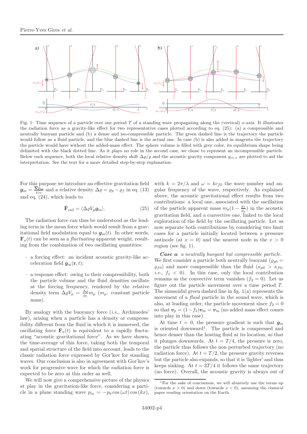

Fig. 1: Time sequence of a particle over one period T of a standing wave propagating along the (vertical) x-axis. It illustrates the radiation force as a gravity-like effect for two representative cases plotted according to eq. (25): (a) a compressible and neutrally buoyant particle and (b) a dense and iso-compressible particle. The green dashed line is the trajectory the particle would follow as a fluid particle, and the blue dashed line is the actual one. In case (b) is also added in magenta the trajectory the particle would have without the added-mass effect. The sphere volume is filled with grey color, its equilibrium shape being delimited with the black dotted line. As it plays no role in the second case, we chose to represent an incompressible particle. Below each sequence, both the local relative density shift  $\Delta\varrho/\varrho$  and the acoustic gravity component  $g_{in,x}$  are plotted to aid the interpretation. See the text for a more detailed step-by-step explanation.

For this purpose we introduce an effective gravitation field  $g_{\rm in}=\frac{\nabla \dot{p}_{\rm in}}{\rho_{f0}}$  $\frac{\mathcal{S}_{\text{Pin}}}{\rho_{f0}}$  and a relative density  $\Delta \rho = \rho_p - \rho_f$  in eq. (13) and eq. (24), which leads to

$$
\bar{\mathbf{F}}_{\rm rad} = \langle \Delta \varrho V_p \mathbf{g}_{\rm in} \rangle. \tag{25}
$$

The radiation force can thus be understood as the leading term in the mean force which would result from a gravitational field modulation equal to  $g_{\text{in}}(t)$ . In other words,  $\mathbf{F}_{a}(t)$  can be seen as a *fluctuating* apparent weight, resulting from the combination of two oscillating quantities:

- a forcing effect: an incident acoustic gravity-like acceleration field  $g_{\text{in}}(\mathbf{r}, t)$ ;
- a response effect: owing to their compressibility, both the particle volume and the fluid densities oscillate at the forcing frequency, rendered by the relative density term  $\Delta \varrho V_p = \frac{\Delta \varrho}{\varrho_p} m_p$  ( $m_p$ : constant particle mass).

By analogy with the buoyancy force  $(i.e.,$  Archimedes' law), arising when a particle has a density or compressibility different from the fluid in which it is immersed, the oscillating force  $\mathbf{F}_a(t)$  is equivalent to a rapidly fluctuating "acoustic gravitational force". As we have shown, the time-average of this force, taking both the temporal and spatial structure of the field into account, leads to the classic radiation force expressed by Gor'kov for standing waves. Our conclusion is also in agreement with Gor'kov's work for progressive wave for which the radiation force is expected to be zero at this order as well.

We will now give a comprehensive picture of the physics at play in the gravitation-like force, considering a particle in a plane standing wave  $p_{\text{in}} = -p_0 \cos(\omega t) \cos(kx)$ , with  $k = 2\pi/\lambda$  and  $\omega = kc_{f0}$  the wave number and angular frequency of the wave, respectively. As explained above, the acoustic gravitational effect results from two contributions: a local one, associated with the oscillation of the particle apparent mass  $m_p(1-\frac{\rho_f}{\rho_g})$  $\frac{\varrho_f}{\varrho_p}$  in the acoustic gravitation field, and a convective one, linked to the local exploration of the field by the oscillating particle. Let us now separate both contributions by considering two limit cases for a particle initially located between a pressure antinode (at  $x = 0$ ) and the nearest node in the  $x > 0$ region (see fig. 1).

Case a: a neutrally buoyant but compressible particle. We first consider a particle both neutrally buoyant ( $\rho_{p0} =$  $\rho_{f0}$ ) and more compressible than the fluid ( $\kappa_{p0} > \kappa_{f0}$ , *i.e.*,  $f_1 < 0$ . In this case, only the local contribution remains as the convective term vanishes  $(f_2 = 0)$ . Let us figure out the particle movement over a time period  $T$ . The sinusoidal green dashed line in fig. 1(a) represents the movement of a *fluid* particle in the sound wave, which is also, at leading order, the particle movement since  $f_2 = 0$ so that  $v_p = (1-f_2)v_{\text{in}} = v_{\text{in}}$  (no added mass effect comes into play in this case).

At time  $t = 0$ , the pressure gradient is such that  $g_{\text{in}}$ is oriented downward<sup>1</sup> . The particle is compressed and hence denser than the hosting fluid at its location, so that it plunges downwards. At  $t = T/4$ , the pressure is zero, the particle thus follows the non perturbed trajectory (no radiation force). At  $t = T/2$ , the pressure gravity reverses but the particle also expands, so that it is 'lighter' and thus keeps sinking. At  $t = 3T/4$  it follows the same trajectory (no force). Overall, the acoustic gravity is always out of

 $1$ For the sake of conciseness, we will abusively use the terms up (towards  $x > 0$ ) and down (towards  $x < 0$ ), assuming the classical paper reading orientation on the Earth.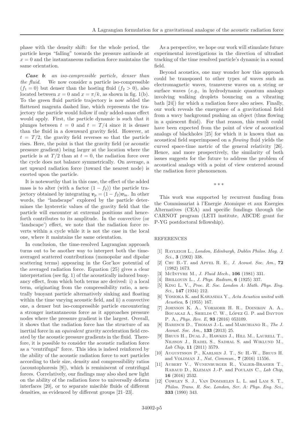phase with the density shift: for the whole period, the particle keeps "falling" towards the pressure antinode at  $x = 0$  and the instantaneous radiation force maintains the same orientation.

Case b: an iso-compressible particle, denser than the fluid. We now consider a particle iso-compressible  $(f_1 = 0)$  but denser than the hosting fluid  $(f_2 > 0)$ , also located between  $x = 0$  and  $x = \pi/k$ , as shown in fig. 1(b). To the green fluid particle trajectory is now added the flattened magenta dashed line, which represents the trajectory the particle would follow if only added-mass effect would apply. First, the particle dynamic is such that it plunges between  $t = 0$  and  $t = T/4$  since it is denser than the fluid in a downward gravity field. However, at  $t = T/2$ , the gravity field reverses so that the particle rises. Here, the point is that the gravity field (or acoustic pressure gradient) being larger at the location where the particle is at  $T/2$  than at  $t = 0$ , the radiation force over the cycle does not balance symmetrically. On average, a net upward radiation force (toward the nearest node) is exerted upon the particle.

It is noteworthy that in this case, the effect of the added mass is to alter (with a factor  $(1 - f_2)$ ) the particle trajectory obtained by integrating  $v_p = (1 - f_2)v_{\text{in}}$ . In other words, the "landscape" explored by the particle determines the hysteretic values of the gravity field that the particle will encounter at extremal positions and henceforth contributes to its amplitude. In the convective (or 'landscape') effect, we note that the radiation force reverts within a cycle while it is not the case in the local one, where it maintains the same orientation.

In conclusion, the time-resolved Lagrangian approach turns out to be another way to interpret both the timeaveraged scattered contributions (monopolar and dipolar scattering terms) appearing in the Gor'kov potential of the averaged radiation force. Equation (25) gives a clear interpretation (see fig. 1) of the acoustically induced buoyancy effect, from which both terms are derived: i) a local term, originating from the compressibility ratio, a neutrally buoyant particle alternatively sinking and floating within the time varying acoustic field, and ii) a convective one, a denser but iso-compressible particle encountering a stronger instantaneous force as it approaches pressure nodes where the pressure gradient is the largest. Overall, it shows that the radiation force has the structure of an inertial force in an *equivalent* gravity acceleration field created by the acoustic pressure gradients in the fluid. Therefore, it is possible to consider the acoustic radiation force as a "centrifugal" force. This idea is indeed reinforced by the ability of the acoustic radiation force to sort particles according to their size, density and compressibility ratios (acoustophoresis [9]), which is reminiscent of centrifugal forces. Correlatively, our findings may also shed new light on the ability of the radiation force to universally deform interfaces [20], or to separate miscible fluids of different densities, as evidenced by different groups [21–23].

As a perspective, we hope our work will stimulate future experimental investigations in the direction of ultrafast tracking of the time resolved particle's dynamic in a sound field.

Beyond acoustics, one may wonder how this approach could be transposed to other types of waves such as electromagnetic waves, transverse waves on a string or surface waves  $(e,q, \text{ in hydrodynamic quantum analogs})$ involving walking droplets bouncing on a vibrating bath [24]) for which a radiation force also arises. Finally, our work reveals the emergence of a gravitational field from a wavy background pushing an object (thus flowing in a quiescent fluid). For that reason, this result could have been expected from the point of view of acoustical analogs of blackholes [25] for which it is known that an acoustical field superimposed on a flowing fluid yields the curved space-time metric of the general relativity [26]. Hence, and more prospectively, the similarity of both issues suggests for the future to address the problem of acoustical analogs with a point of view centered around the radiation force phenomenon.

∗∗∗

This work was supported by recurrent funding from the Commissariat `a l'Energie Atomique et aux Energies Alternatives (CEA) and specific fundings through the CARNOT program (LETI institute, ABCDE grant for P-YG postdoctoral fellowship).

#### REFERENCES

- [1] Rayleigh L., London, Edinburgh, Dublin Philos. Mag. J. Sci., **3** (1902) 338.
- [2] CHU B.-T. and APFEL R. E., J. Acoust. Soc. Am.,  $72$ (1982) 1673.
- [3] MCINTYRE M., *J. Fluid Mech.*, **106** (1981) 331.
- [4] BRILLOUIN L., *J. Phys. Radium*, **6** (1925) 337.
- [5] King L. V., Proc. R. Soc. London A: Math. Phys. Eng. Sci., 147 (1934) 212.
- [6] YOSIOKA K. and KAWASIMA Y., Acta Acustica united with Acustica, 5 (1955) 167.
- [7] Johnson K. A., Vormohr H. R., Doinikov A. A., BOUAKAZ A., SHIELDS C. W., LÓPEZ G. P. and DAYTON P. A., Phys. Rev. E, 93 (2016) 053109.
- [8] Baresch D., Thomas J.-L. and Marchiano R., The J. Acoust. Soc. Am., 133 (2013) 25.
- [9] Bruus H., Dual J., Hawkes J., Hill M., Laurell T., Nilsson J., Radel S., Sadhal S. and Wiklund M., Lab Chip, 11 (2011) 3579.
- [10] Augustsson P., Karlsen J. T., Su H.-W., Bruus H. and VOLDMAN J., Nat. Commun., 7 (2016) 11556.
- [11] Aubert V., Wunenburger R., Valier-Brasier T., Rabaud D., Kleman J.-P. and Poulain C., Lab Chip, 16 (2016) 2532.
- [12] COWLEY S. J., VAN DOMMELEN L. L. and LAM S. T., Philos. Trans. R. Soc. London, Ser. A: Phys. Eng. Sci., 333 (1990) 343.